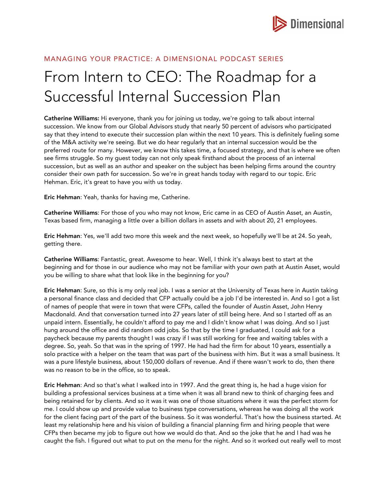

# MANAGING YOUR PRACTICE: A DIMENSIONAL PODCAST SERIES

# From Intern to CEO: The Roadmap for a Successful Internal Succession Plan

Catherine Williams: Hi everyone, thank you for joining us today, we're going to talk about internal succession. We know from our Global Advisors study that nearly 50 percent of advisors who participated say that they intend to execute their succession plan within the next 10 years. This is definitely fueling some of the M&A activity we're seeing. But we do hear regularly that an internal succession would be the preferred route for many. However, we know this takes time, a focused strategy, and that is where we often see firms struggle. So my guest today can not only speak firsthand about the process of an internal succession, but as well as an author and speaker on the subject has been helping firms around the country consider their own path for succession. So we're in great hands today with regard to our topic. Eric Hehman. Eric, it's great to have you with us today.

Eric Hehman: Yeah, thanks for having me, Catherine.

Catherine Williams: For those of you who may not know, Eric came in as CEO of Austin Asset, an Austin, Texas based firm, managing a little over a billion dollars in assets and with about 20, 21 employees.

Eric Hehman: Yes, we'll add two more this week and the next week, so hopefully we'll be at 24. So yeah, getting there.

Catherine Williams: Fantastic, great. Awesome to hear. Well, I think it's always best to start at the beginning and for those in our audience who may not be familiar with your own path at Austin Asset, would you be willing to share what that look like in the beginning for you?

Eric Hehman: Sure, so this is my only real job. I was a senior at the University of Texas here in Austin taking a personal finance class and decided that CFP actually could be a job I'd be interested in. And so I got a list of names of people that were in town that were CFPs, called the founder of Austin Asset, John Henry Macdonald. And that conversation turned into 27 years later of still being here. And so I started off as an unpaid intern. Essentially, he couldn't afford to pay me and I didn't know what I was doing. And so I just hung around the office and did random odd jobs. So that by the time I graduated, I could ask for a paycheck because my parents thought I was crazy if I was still working for free and waiting tables with a degree. So, yeah. So that was in the spring of 1997. He had had the firm for about 10 years, essentially a solo practice with a helper on the team that was part of the business with him. But it was a small business. It was a pure lifestyle business, about 150,000 dollars of revenue. And if there wasn't work to do, then there was no reason to be in the office, so to speak.

Eric Hehman: And so that's what I walked into in 1997. And the great thing is, he had a huge vision for building a professional services business at a time when it was all brand new to think of charging fees and being retained for by clients. And so it was it was one of those situations where it was the perfect storm for me. I could show up and provide value to business type conversations, whereas he was doing all the work for the client facing part of the part of the business. So it was wonderful. That's how the business started. At least my relationship here and his vision of building a financial planning firm and hiring people that were CFPs then became my job to figure out how we would do that. And so the joke that he and I had was he caught the fish. I figured out what to put on the menu for the night. And so it worked out really well to most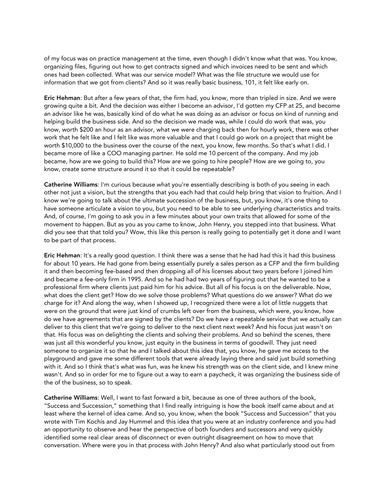of my focus was on practice management at the time, even though I didn't know what that was. You know, organizing files, figuring out how to get contracts signed and which invoices need to be sent and which ones had been collected. What was our service model? What was the file structure we would use for information that we got from clients? And so it was really basic business, 101, it felt like early on.

Eric Hehman: But after a few years of that, the firm had, you know, more than tripled in size. And we were growing quite a bit. And the decision was either I become an advisor, I'd gotten my CFP at 25, and become an advisor like he was, basically kind of do what he was doing as an advisor or focus on kind of running and helping build the business side. And so the decision we made was, while I could do work that was, you know, worth \$200 an hour as an advisor, what we were charging back then for hourly work, there was other work that he felt like and I felt like was more valuable and that I could go work on a project that might be worth \$10,000 to the business over the course of the next, you know, few months. So that's what I did. I became more of like a COO managing partner. He sold me 10 percent of the company. And my job became, how are we going to build this? How are we going to hire people? How are we going to, you know, create some structure around it so that it could be repeatable?

Catherine Williams: I'm curious because what you're essentially describing is both of you seeing in each other not just a vision, but the strengths that you each had that could help bring that vision to fruition. And I know we're going to talk about the ultimate succession of the business, but, you know, it's one thing to have someone articulate a vision to you, but you need to be able to see underlying characteristics and traits. And, of course, I'm going to ask you in a few minutes about your own traits that allowed for some of the movement to happen. But as you as you came to know, John Henry, you stepped into that business. What did you see that that told you? Wow, this like this person is really going to potentially get it done and I want to be part of that process.

Eric Hehman: It's a really good question. I think there was a sense that he had had this it had this business for about 10 years. He had gone from being essentially purely a sales person as a CFP and the firm building it and then becoming fee-based and then dropping all of his licenses about two years before I joined him and became a fee-only firm in 1995. And so he had had two years of figuring out that he wanted to be a professional firm where clients just paid him for his advice. But all of his focus is on the deliverable. Now, what does the client get? How do we solve those problems? What questions do we answer? What do we charge for it? And along the way, when I showed up, I recognized there were a lot of little nuggets that were on the ground that were just kind of crumbs left over from the business, which were, you know, how do we have agreements that are signed by the clients? Do we have a repeatable service that we actually can deliver to this client that we're going to deliver to the next client next week? And his focus just wasn't on that. His focus was on delighting the clients and solving their problems. And so behind the scenes, there was just all this wonderful you know, just equity in the business in terms of goodwill. They just need someone to organize it so that he and I talked about this idea that, you know, he gave me access to the playground and gave me some different tools that were already laying there and said just build something with it. And so I think that's what was fun, was he knew his strength was on the client side, and I knew mine wasn't. And so in order for me to figure out a way to earn a paycheck, it was organizing the business side of the of the business, so to speak.

Catherine Williams: Well, I want to fast forward a bit, because as one of three authors of the book, "Success and Succession," something that I find really intriguing is how the book itself came about and at least where the kernel of idea came. And so, you know, when the book "Success and Succession" that you wrote with Tim Kochis and Jay Hummel and this idea that you were at an industry conference and you had an opportunity to observe and hear the perspective of both founders and successors and very quickly identified some real clear areas of disconnect or even outright disagreement on how to move that conversation. Where were you in that process with John Henry? And also what particularly stood out from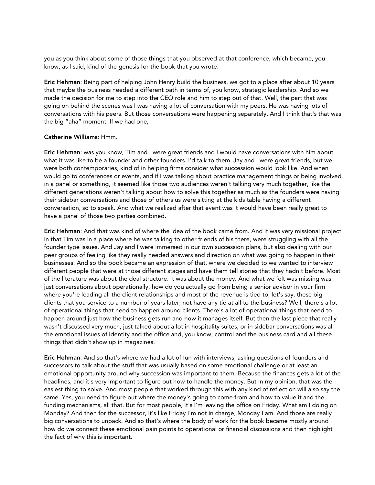you as you think about some of those things that you observed at that conference, which became, you know, as I said, kind of the genesis for the book that you wrote.

Eric Hehman: Being part of helping John Henry build the business, we got to a place after about 10 years that maybe the business needed a different path in terms of, you know, strategic leadership. And so we made the decision for me to step into the CEO role and him to step out of that. Well, the part that was going on behind the scenes was I was having a lot of conversation with my peers. He was having lots of conversations with his peers. But those conversations were happening separately. And I think that's that was the big "aha" moment. If we had one,

#### Catherine Williams: Hmm.

Eric Hehman: was you know, Tim and I were great friends and I would have conversations with him about what it was like to be a founder and other founders. I'd talk to them. Jay and I were great friends, but we were both contemporaries, kind of in helping firms consider what succession would look like. And when I would go to conferences or events, and if I was talking about practice management things or being involved in a panel or something, it seemed like those two audiences weren't talking very much together, like the different generations weren't talking about how to solve this together as much as the founders were having their sidebar conversations and those of others us were sitting at the kids table having a different conversation, so to speak. And what we realized after that event was it would have been really great to have a panel of those two parties combined.

Eric Hehman: And that was kind of where the idea of the book came from. And it was very missional project in that Tim was in a place where he was talking to other friends of his there, were struggling with all the founder type issues. And Jay and I were immersed in our own succession plans, but also dealing with our peer groups of feeling like they really needed answers and direction on what was going to happen in their businesses. And so the book became an expression of that, where we decided to we wanted to interview different people that were at those different stages and have them tell stories that they hadn't before. Most of the literature was about the deal structure. It was about the money. And what we felt was missing was just conversations about operationally, how do you actually go from being a senior advisor in your firm where you're leading all the client relationships and most of the revenue is tied to, let's say, these big clients that you service to a number of years later, not have any tie at all to the business? Well, there's a lot of operational things that need to happen around clients. There's a lot of operational things that need to happen around just how the business gets run and how it manages itself. But then the last piece that really wasn't discussed very much, just talked about a lot in hospitality suites, or in sidebar conversations was all the emotional issues of identity and the office and, you know, control and the business card and all these things that didn't show up in magazines.

Eric Hehman: And so that's where we had a lot of fun with interviews, asking questions of founders and successors to talk about the stuff that was usually based on some emotional challenge or at least an emotional opportunity around why succession was important to them. Because the finances gets a lot of the headlines, and it's very important to figure out how to handle the money. But in my opinion, that was the easiest thing to solve. And most people that worked through this with any kind of reflection will also say the same. Yes, you need to figure out where the money's going to come from and how to value it and the funding mechanisms, all that. But for most people, it's I'm leaving the office on Friday. What am I doing on Monday? And then for the successor, it's like Friday I'm not in charge, Monday I am. And those are really big conversations to unpack. And so that's where the body of work for the book became mostly around how do we connect these emotional pain points to operational or financial discussions and then highlight the fact of why this is important.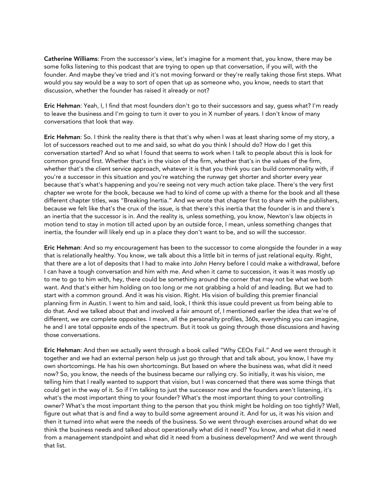Catherine Williams: From the successor's view, let's imagine for a moment that, you know, there may be some folks listening to this podcast that are trying to open up that conversation, if you will, with the founder. And maybe they've tried and it's not moving forward or they're really taking those first steps. What would you say would be a way to sort of open that up as someone who, you know, needs to start that discussion, whether the founder has raised it already or not?

Eric Hehman: Yeah, I, I find that most founders don't go to their successors and say, guess what? I'm ready to leave the business and I'm going to turn it over to you in X number of years. I don't know of many conversations that look that way.

Eric Hehman: So. I think the reality there is that that's why when I was at least sharing some of my story, a lot of successors reached out to me and said, so what do you think I should do? How do I get this conversation started? And so what I found that seems to work when I talk to people about this is look for common ground first. Whether that's in the vision of the firm, whether that's in the values of the firm, whether that's the client service approach, whatever it is that you think you can build commonality with, if you're a successor in this situation and you're watching the runway get shorter and shorter every year because that's what's happening and you're seeing not very much action take place. There's the very first chapter we wrote for the book, because we had to kind of come up with a theme for the book and all these different chapter titles, was "Breaking Inertia." And we wrote that chapter first to share with the publishers, because we felt like that's the crux of the issue, is that there's this inertia that the founder is in and there's an inertia that the successor is in. And the reality is, unless something, you know, Newton's law objects in motion tend to stay in motion till acted upon by an outside force, I mean, unless something changes that inertia, the founder will likely end up in a place they don't want to be, and so will the successor.

Eric Hehman: And so my encouragement has been to the successor to come alongside the founder in a way that is relationally healthy. You know, we talk about this a little bit in terms of just relational equity. Right, that there are a lot of deposits that I had to make into John Henry before I could make a withdrawal, before I can have a tough conversation and him with me. And when it came to succession, it was it was mostly up to me to go to him with, hey, there could be something around the corner that may not be what we both want. And that's either him holding on too long or me not grabbing a hold of and leading. But we had to start with a common ground. And it was his vision. Right. His vision of building this premier financial planning firm in Austin. I went to him and said, look, I think this issue could prevent us from being able to do that. And we talked about that and involved a fair amount of, I mentioned earlier the idea that we're of different, we are complete opposites. I mean, all the personality profiles, 360s, everything you can imagine, he and I are total opposite ends of the spectrum. But it took us going through those discussions and having those conversations.

Eric Hehman: And then we actually went through a book called "Why CEOs Fail." And we went through it together and we had an external person help us just go through that and talk about, you know, I have my own shortcomings. He has his own shortcomings. But based on where the business was, what did it need now? So, you know, the needs of the business became our rallying cry. So initially, it was his vision, me telling him that I really wanted to support that vision, but I was concerned that there was some things that could get in the way of it. So if I'm talking to just the successor now and the founders aren't listening, it's what's the most important thing to your founder? What's the most important thing to your controlling owner? What's the most important thing to the person that you think might be holding on too tightly? Well, figure out what that is and find a way to build some agreement around it. And for us, it was his vision and then it turned into what were the needs of the business. So we went through exercises around what do we think the business needs and talked about operationally what did it need? You know, and what did it need from a management standpoint and what did it need from a business development? And we went through that list.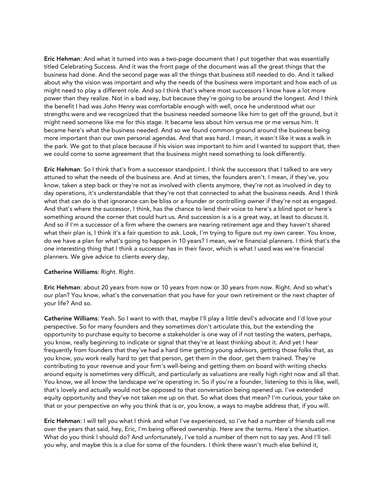Eric Hehman: And what it turned into was a two-page document that I put together that was essentially titled Celebrating Success. And it was the front page of the document was all the great things that the business had done. And the second page was all the things that business still needed to do. And it talked about why the vision was important and why the needs of the business were important and how each of us might need to play a different role. And so I think that's where most successors I know have a lot more power than they realize. Not in a bad way, but because they're going to be around the longest. And I think the benefit I had was John Henry was comfortable enough with well, once he understood what our strengths were and we recognized that the business needed someone like him to get off the ground, but it might need someone like me for this stage. It became less about him versus me or me versus him. It became here's what the business needed. And so we found common ground around the business being more important than our own personal agendas. And that was hard. I mean, it wasn't like it was a walk in the park. We got to that place because if his vision was important to him and I wanted to support that, then we could come to some agreement that the business might need something to look differently.

Eric Hehman: So I think that's from a successor standpoint. I think the successors that I talked to are very attuned to what the needs of the business are. And at times, the founders aren't. I mean, if they've, you know, taken a step back or they're not as involved with clients anymore, they're not as involved in day to day operations, it's understandable that they're not that connected to what the business needs. And I think what that can do is that ignorance can be bliss or a founder or controlling owner if they're not as engaged. And that's where the successor, I think, has the chance to lend their voice to here's a blind spot or here's something around the corner that could hurt us. And succession is a is a great way, at least to discuss it. And so if I'm a successor of a firm where the owners are nearing retirement age and they haven't shared what their plan is, I think it's a fair question to ask. Look, I'm trying to figure out my own career. You know, do we have a plan for what's going to happen in 10 years? I mean, we're financial planners. I think that's the one interesting thing that I think a successor has in their favor, which is what I used was we're financial planners. We give advice to clients every day,

#### Catherine Williams: Right. Right.

Eric Hehman: about 20 years from now or 10 years from now or 30 years from now. Right. And so what's our plan? You know, what's the conversation that you have for your own retirement or the next chapter of your life? And so.

Catherine Williams: Yeah. So I want to with that, maybe I'll play a little devil's advocate and I'd love your perspective. So for many founders and they sometimes don't articulate this, but the extending the opportunity to purchase equity to become a stakeholder is one way of if not testing the waters, perhaps, you know, really beginning to indicate or signal that they're at least thinking about it. And yet I hear frequently from founders that they've had a hard time getting young advisors, getting those folks that, as you know, you work really hard to get that person, get them in the door, get them trained. They're contributing to your revenue and your firm's well-being and getting them on board with writing checks around equity is sometimes very difficult, and particularly as valuations are really high right now and all that. You know, we all know the landscape we're operating in. So if you're a founder, listening to this is like, well, that's lovely and actually would not be opposed to that conversation being opened up. I've extended equity opportunity and they've not taken me up on that. So what does that mean? I'm curious, your take on that or your perspective on why you think that is or, you know, a ways to maybe address that, if you will.

Eric Hehman: I will tell you what I think and what I've experienced, so I've had a number of friends call me over the years that said, hey, Eric, I'm being offered ownership. Here are the terms. Here's the situation. What do you think I should do? And unfortunately, I've told a number of them not to say yes. And I'll tell you why, and maybe this is a clue for some of the founders. I think there wasn't much else behind it,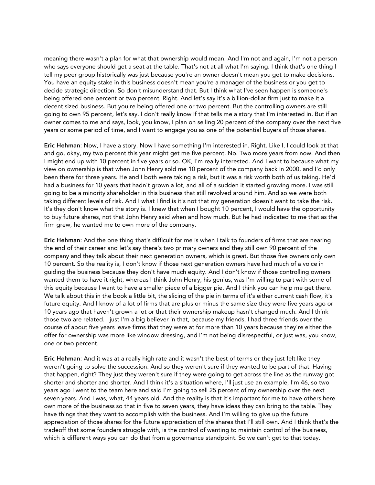meaning there wasn't a plan for what that ownership would mean. And I'm not and again, I'm not a person who says everyone should get a seat at the table. That's not at all what I'm saying. I think that's one thing I tell my peer group historically was just because you're an owner doesn't mean you get to make decisions. You have an equity stake in this business doesn't mean you're a manager of the business or you get to decide strategic direction. So don't misunderstand that. But I think what I've seen happen is someone's being offered one percent or two percent. Right. And let's say it's a billion-dollar firm just to make it a decent sized business. But you're being offered one or two percent. But the controlling owners are still going to own 95 percent, let's say. I don't really know if that tells me a story that I'm interested in. But if an owner comes to me and says, look, you know, I plan on selling 20 percent of the company over the next five years or some period of time, and I want to engage you as one of the potential buyers of those shares.

Eric Hehman: Now, I have a story. Now I have something I'm interested in. Right. Like I, I could look at that and go, okay, my two percent this year might get me five percent. No. Two more years from now. And then I might end up with 10 percent in five years or so. OK, I'm really interested. And I want to because what my view on ownership is that when John Henry sold me 10 percent of the company back in 2000, and I'd only been there for three years. He and I both were taking a risk, but it was a risk worth both of us taking. He'd had a business for 10 years that hadn't grown a lot, and all of a sudden it started growing more. I was still going to be a minority shareholder in this business that still revolved around him. And so we were both taking different levels of risk. And I what I find is it's not that my generation doesn't want to take the risk. It's they don't know what the story is. I knew that when I bought 10 percent, I would have the opportunity to buy future shares, not that John Henry said when and how much. But he had indicated to me that as the firm grew, he wanted me to own more of the company.

Eric Hehman: And the one thing that's difficult for me is when I talk to founders of firms that are nearing the end of their career and let's say there's two primary owners and they still own 90 percent of the company and they talk about their next generation owners, which is great. But those five owners only own 10 percent. So the reality is, I don't know if those next generation owners have had much of a voice in guiding the business because they don't have much equity. And I don't know if those controlling owners wanted them to have it right, whereas I think John Henry, his genius, was I'm willing to part with some of this equity because I want to have a smaller piece of a bigger pie. And I think you can help me get there. We talk about this in the book a little bit, the slicing of the pie in terms of it's either current cash flow, it's future equity. And I know of a lot of firms that are plus or minus the same size they were five years ago or 10 years ago that haven't grown a lot or that their ownership makeup hasn't changed much. And I think those two are related. I just I'm a big believer in that, because my friends, I had three friends over the course of about five years leave firms that they were at for more than 10 years because they're either the offer for ownership was more like window dressing, and I'm not being disrespectful, or just was, you know, one or two percent.

Eric Hehman: And it was at a really high rate and it wasn't the best of terms or they just felt like they weren't going to solve the succession. And so they weren't sure if they wanted to be part of that. Having that happen, right? They just they weren't sure if they were going to get across the line as the runway got shorter and shorter and shorter. And I think it's a situation where, I'll just use an example, I'm 46, so two years ago I went to the team here and said I'm going to sell 25 percent of my ownership over the next seven years. And I was, what, 44 years old. And the reality is that it's important for me to have others here own more of the business so that in five to seven years, they have ideas they can bring to the table. They have things that they want to accomplish with the business. And I'm willing to give up the future appreciation of those shares for the future appreciation of the shares that I'll still own. And I think that's the tradeoff that some founders struggle with, is the control of wanting to maintain control of the business, which is different ways you can do that from a governance standpoint. So we can't get to that today.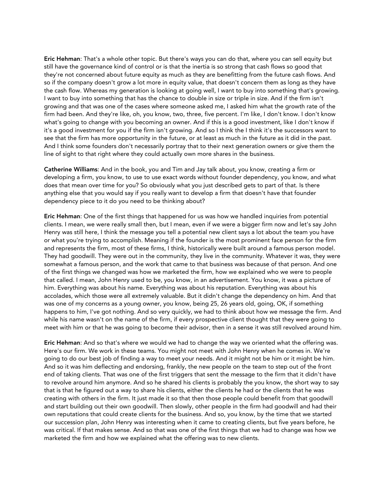Eric Hehman: That's a whole other topic. But there's ways you can do that, where you can sell equity but still have the governance kind of control or is that the inertia is so strong that cash flows so good that they're not concerned about future equity as much as they are benefitting from the future cash flows. And so if the company doesn't grow a lot more in equity value, that doesn't concern them as long as they have the cash flow. Whereas my generation is looking at going well, I want to buy into something that's growing. I want to buy into something that has the chance to double in size or triple in size. And if the firm isn't growing and that was one of the cases where someone asked me, I asked him what the growth rate of the firm had been. And they're like, oh, you know, two, three, five percent. I'm like, I don't know. I don't know what's going to change with you becoming an owner. And if this is a good investment, like I don't know if it's a good investment for you if the firm isn't growing. And so I think the I think it's the successors want to see that the firm has more opportunity in the future, or at least as much in the future as it did in the past. And I think some founders don't necessarily portray that to their next generation owners or give them the line of sight to that right where they could actually own more shares in the business.

Catherine Williams: And in the book, you and Tim and Jay talk about, you know, creating a firm or developing a firm, you know, to use to use exact words without founder dependency, you know, and what does that mean over time for you? So obviously what you just described gets to part of that. Is there anything else that you would say if you really want to develop a firm that doesn't have that founder dependency piece to it do you need to be thinking about?

Eric Hehman: One of the first things that happened for us was how we handled inquiries from potential clients. I mean, we were really small then, but I mean, even if we were a bigger firm now and let's say John Henry was still here, I think the message you tell a potential new client says a lot about the team you have or what you're trying to accomplish. Meaning if the founder is the most prominent face person for the firm and represents the firm, most of these firms, I think, historically were built around a famous person model. They had goodwill. They were out in the community, they live in the community. Whatever it was, they were somewhat a famous person, and the work that came to that business was because of that person. And one of the first things we changed was how we marketed the firm, how we explained who we were to people that called. I mean, John Henry used to be, you know, in an advertisement. You know, it was a picture of him. Everything was about his name. Everything was about his reputation. Everything was about his accolades, which those were all extremely valuable. But it didn't change the dependency on him. And that was one of my concerns as a young owner, you know, being 25, 26 years old, going, OK, if something happens to him, I've got nothing. And so very quickly, we had to think about how we message the firm. And while his name wasn't on the name of the firm, if every prospective client thought that they were going to meet with him or that he was going to become their advisor, then in a sense it was still revolved around him.

Eric Hehman: And so that's where we would we had to change the way we oriented what the offering was. Here's our firm. We work in these teams. You might not meet with John Henry when he comes in. We're going to do our best job of finding a way to meet your needs. And it might not be him or it might be him. And so it was him deflecting and endorsing, frankly, the new people on the team to step out of the front end of taking clients. That was one of the first triggers that sent the message to the firm that it didn't have to revolve around him anymore. And so he shared his clients is probably the you know, the short way to say that is that he figured out a way to share his clients, either the clients he had or the clients that he was creating with others in the firm. It just made it so that then those people could benefit from that goodwill and start building out their own goodwill. Then slowly, other people in the firm had goodwill and had their own reputations that could create clients for the business. And so, you know, by the time that we started our succession plan, John Henry was interesting when it came to creating clients, but five years before, he was critical. If that makes sense. And so that was one of the first things that we had to change was how we marketed the firm and how we explained what the offering was to new clients.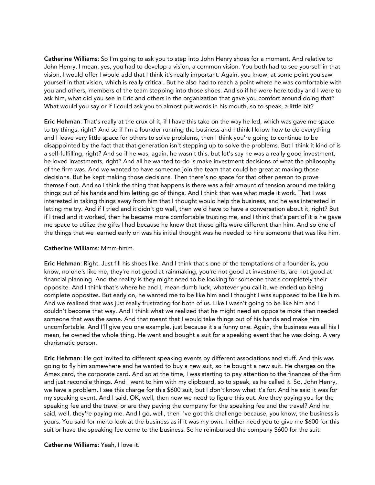Catherine Williams: So I'm going to ask you to step into John Henry shoes for a moment. And relative to John Henry, I mean, yes, you had to develop a vision, a common vision. You both had to see yourself in that vision. I would offer I would add that I think it's really important. Again, you know, at some point you saw yourself in that vision, which is really critical. But he also had to reach a point where he was comfortable with you and others, members of the team stepping into those shoes. And so if he were here today and I were to ask him, what did you see in Eric and others in the organization that gave you comfort around doing that? What would you say or if I could ask you to almost put words in his mouth, so to speak, a little bit?

Eric Hehman: That's really at the crux of it, if I have this take on the way he led, which was gave me space to try things, right? And so if I'm a founder running the business and I think I know how to do everything and I leave very little space for others to solve problems, then I think you're going to continue to be disappointed by the fact that that generation isn't stepping up to solve the problems. But I think it kind of is a self-fulfilling, right? And so if he was, again, he wasn't this, but let's say he was a really good investment, he loved investments, right? And all he wanted to do is make investment decisions of what the philosophy of the firm was. And we wanted to have someone join the team that could be great at making those decisions. But he kept making those decisions. Then there's no space for that other person to prove themself out. And so I think the thing that happens is there was a fair amount of tension around me taking things out of his hands and him letting go of things. And I think that was what made it work. That I was interested in taking things away from him that I thought would help the business, and he was interested in letting me try. And if I tried and it didn't go well, then we'd have to have a conversation about it, right? But if I tried and it worked, then he became more comfortable trusting me, and I think that's part of it is he gave me space to utilize the gifts I had because he knew that those gifts were different than him. And so one of the things that we learned early on was his initial thought was he needed to hire someone that was like him.

# Catherine Williams: Mmm-hmm.

Eric Hehman: Right. Just fill his shoes like. And I think that's one of the temptations of a founder is, you know, no one's like me, they're not good at rainmaking, you're not good at investments, are not good at financial planning. And the reality is they might need to be looking for someone that's completely their opposite. And I think that's where he and I, mean dumb luck, whatever you call it, we ended up being complete opposites. But early on, he wanted me to be like him and I thought I was supposed to be like him. And we realized that was just really frustrating for both of us. Like I wasn't going to be like him and I couldn't become that way. And I think what we realized that he might need an opposite more than needed someone that was the same. And that meant that I would take things out of his hands and make him uncomfortable. And I'll give you one example, just because it's a funny one. Again, the business was all his I mean, he owned the whole thing. He went and bought a suit for a speaking event that he was doing. A very charismatic person.

Eric Hehman: He got invited to different speaking events by different associations and stuff. And this was going to fly him somewhere and he wanted to buy a new suit, so he bought a new suit. He charges on the Amex card, the corporate card. And so at the time, I was starting to pay attention to the finances of the firm and just reconcile things. And I went to him with my clipboard, so to speak, as he called it. So, John Henry, we have a problem. I see this charge for this \$600 suit, but I don't know what it's for. And he said it was for my speaking event. And I said, OK, well, then now we need to figure this out. Are they paying you for the speaking fee and the travel or are they paying the company for the speaking fee and the travel? And he said, well, they're paying me. And I go, well, then I've got this challenge because, you know, the business is yours. You said for me to look at the business as if it was my own. I either need you to give me \$600 for this suit or have the speaking fee come to the business. So he reimbursed the company \$600 for the suit.

#### Catherine Williams: Yeah, I love it.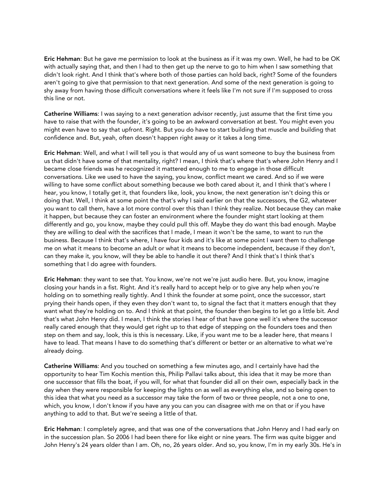Eric Hehman: But he gave me permission to look at the business as if it was my own. Well, he had to be OK with actually saying that, and then I had to then get up the nerve to go to him when I saw something that didn't look right. And I think that's where both of those parties can hold back, right? Some of the founders aren't going to give that permission to that next generation. And some of the next generation is going to shy away from having those difficult conversations where it feels like I'm not sure if I'm supposed to cross this line or not.

Catherine Williams: I was saying to a next generation advisor recently, just assume that the first time you have to raise that with the founder, it's going to be an awkward conversation at best. You might even you might even have to say that upfront. Right. But you do have to start building that muscle and building that confidence and. But, yeah, often doesn't happen right away or it takes a long time.

Eric Hehman: Well, and what I will tell you is that would any of us want someone to buy the business from us that didn't have some of that mentality, right? I mean, I think that's where that's where John Henry and I became close friends was he recognized it mattered enough to me to engage in those difficult conversations. Like we used to have the saying, you know, conflict meant we cared. And so if we were willing to have some conflict about something because we both cared about it, and I think that's where I hear, you know, I totally get it, that founders like, look, you know, the next generation isn't doing this or doing that. Well, I think at some point the that's why I said earlier on that the successors, the G2, whatever you want to call them, have a lot more control over this than I think they realize. Not because they can make it happen, but because they can foster an environment where the founder might start looking at them differently and go, you know, maybe they could pull this off. Maybe they do want this bad enough. Maybe they are willing to deal with the sacrifices that I made, I mean it won't be the same, to want to run the business. Because I think that's where, I have four kids and it's like at some point I want them to challenge me on what it means to become an adult or what it means to become independent, because if they don't, can they make it, you know, will they be able to handle it out there? And I think that's I think that's something that I do agree with founders.

Eric Hehman: they want to see that. You know, we're not we're just audio here. But, you know, imagine closing your hands in a fist. Right. And it's really hard to accept help or to give any help when you're holding on to something really tightly. And I think the founder at some point, once the successor, start prying their hands open, if they even they don't want to, to signal the fact that it matters enough that they want what they're holding on to. And I think at that point, the founder then begins to let go a little bit. And that's what John Henry did. I mean, I think the stories I hear of that have gone well it's where the successor really cared enough that they would get right up to that edge of stepping on the founders toes and then step on them and say, look, this is this is necessary. Like, if you want me to be a leader here, that means I have to lead. That means I have to do something that's different or better or an alternative to what we're already doing.

Catherine Williams: And you touched on something a few minutes ago, and I certainly have had the opportunity to hear Tim Kochis mention this, Philip Pallavi talks about, this idea that it may be more than one successor that fills the boat, if you will, for what that founder did all on their own, especially back in the day when they were responsible for keeping the lights on as well as everything else, and so being open to this idea that what you need as a successor may take the form of two or three people, not a one to one, which, you know, I don't know if you have any you can you can disagree with me on that or if you have anything to add to that. But we're seeing a little of that.

Eric Hehman: I completely agree, and that was one of the conversations that John Henry and I had early on in the succession plan. So 2006 I had been there for like eight or nine years. The firm was quite bigger and John Henry's 24 years older than I am. Oh, no, 26 years older. And so, you know, I'm in my early 30s. He's in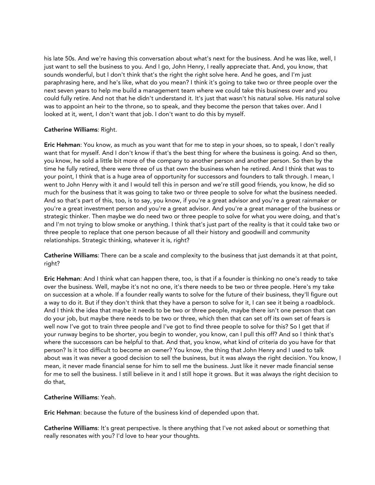his late 50s. And we're having this conversation about what's next for the business. And he was like, well, I just want to sell the business to you. And I go, John Henry, I really appreciate that. And, you know, that sounds wonderful, but I don't think that's the right the right solve here. And he goes, and I'm just paraphrasing here, and he's like, what do you mean? I think it's going to take two or three people over the next seven years to help me build a management team where we could take this business over and you could fully retire. And not that he didn't understand it. It's just that wasn't his natural solve. His natural solve was to appoint an heir to the throne, so to speak, and they become the person that takes over. And I looked at it, went, I don't want that job. I don't want to do this by myself.

# Catherine Williams: Right.

Eric Hehman: You know, as much as you want that for me to step in your shoes, so to speak, I don't really want that for myself. And I don't know if that's the best thing for where the business is going. And so then, you know, he sold a little bit more of the company to another person and another person. So then by the time he fully retired, there were three of us that own the business when he retired. And I think that was to your point, I think that is a huge area of opportunity for successors and founders to talk through. I mean, I went to John Henry with it and I would tell this in person and we're still good friends, you know, he did so much for the business that it was going to take two or three people to solve for what the business needed. And so that's part of this, too, is to say, you know, if you're a great advisor and you're a great rainmaker or you're a great investment person and you're a great advisor. And you're a great manager of the business or strategic thinker. Then maybe we do need two or three people to solve for what you were doing, and that's and I'm not trying to blow smoke or anything. I think that's just part of the reality is that it could take two or three people to replace that one person because of all their history and goodwill and community relationships. Strategic thinking, whatever it is, right?

Catherine Williams: There can be a scale and complexity to the business that just demands it at that point, right?

Eric Hehman: And I think what can happen there, too, is that if a founder is thinking no one's ready to take over the business. Well, maybe it's not no one, it's there needs to be two or three people. Here's my take on succession at a whole. If a founder really wants to solve for the future of their business, they'll figure out a way to do it. But if they don't think that they have a person to solve for it, I can see it being a roadblock. And I think the idea that maybe it needs to be two or three people, maybe there isn't one person that can do your job, but maybe there needs to be two or three, which then that can set off its own set of fears is well now I've got to train three people and I've got to find three people to solve for this? So I get that if your runway begins to be shorter, you begin to wonder, you know, can I pull this off? And so I think that's where the successors can be helpful to that. And that, you know, what kind of criteria do you have for that person? Is it too difficult to become an owner? You know, the thing that John Henry and I used to talk about was it was never a good decision to sell the business, but it was always the right decision. You know, I mean, it never made financial sense for him to sell me the business. Just like it never made financial sense for me to sell the business. I still believe in it and I still hope it grows. But it was always the right decision to do that,

# Catherine Williams: Yeah.

Eric Hehman: because the future of the business kind of depended upon that.

Catherine Williams: It's great perspective. Is there anything that I've not asked about or something that really resonates with you? I'd love to hear your thoughts.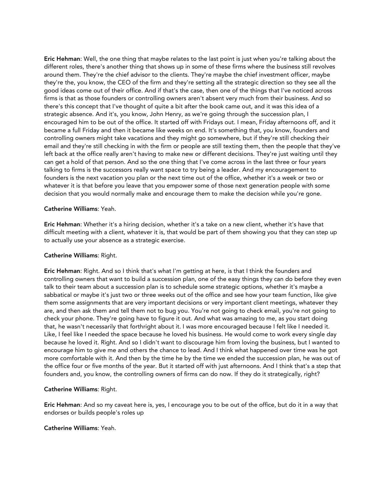Eric Hehman: Well, the one thing that maybe relates to the last point is just when you're talking about the different roles, there's another thing that shows up in some of these firms where the business still revolves around them. They're the chief advisor to the clients. They're maybe the chief investment officer, maybe they're the, you know, the CEO of the firm and they're setting all the strategic direction so they see all the good ideas come out of their office. And if that's the case, then one of the things that I've noticed across firms is that as those founders or controlling owners aren't absent very much from their business. And so there's this concept that I've thought of quite a bit after the book came out, and it was this idea of a strategic absence. And it's, you know, John Henry, as we're going through the succession plan, I encouraged him to be out of the office. It started off with Fridays out. I mean, Friday afternoons off, and it became a full Friday and then it became like weeks on end. It's something that, you know, founders and controlling owners might take vacations and they might go somewhere, but if they're still checking their email and they're still checking in with the firm or people are still texting them, then the people that they've left back at the office really aren't having to make new or different decisions. They're just waiting until they can get a hold of that person. And so the one thing that I've come across in the last three or four years talking to firms is the successors really want space to try being a leader. And my encouragement to founders is the next vacation you plan or the next time out of the office, whether it's a week or two or whatever it is that before you leave that you empower some of those next generation people with some decision that you would normally make and encourage them to make the decision while you're gone.

#### Catherine Williams: Yeah.

Eric Hehman: Whether it's a hiring decision, whether it's a take on a new client, whether it's have that difficult meeting with a client, whatever it is, that would be part of them showing you that they can step up to actually use your absence as a strategic exercise.

# Catherine Williams: Right.

Eric Hehman: Right. And so I think that's what I'm getting at here, is that I think the founders and controlling owners that want to build a succession plan, one of the easy things they can do before they even talk to their team about a succession plan is to schedule some strategic options, whether it's maybe a sabbatical or maybe it's just two or three weeks out of the office and see how your team function, like give them some assignments that are very important decisions or very important client meetings, whatever they are, and then ask them and tell them not to bug you. You're not going to check email, you're not going to check your phone. They're going have to figure it out. And what was amazing to me, as you start doing that, he wasn't necessarily that forthright about it. I was more encouraged because I felt like I needed it. Like, I feel like I needed the space because he loved his business. He would come to work every single day because he loved it. Right. And so I didn't want to discourage him from loving the business, but I wanted to encourage him to give me and others the chance to lead. And I think what happened over time was he got more comfortable with it. And then by the time he by the time we ended the succession plan, he was out of the office four or five months of the year. But it started off with just afternoons. And I think that's a step that founders and, you know, the controlling owners of firms can do now. If they do it strategically, right?

# Catherine Williams: Right.

Eric Hehman: And so my caveat here is, yes, I encourage you to be out of the office, but do it in a way that endorses or builds people's roles up

#### Catherine Williams: Yeah.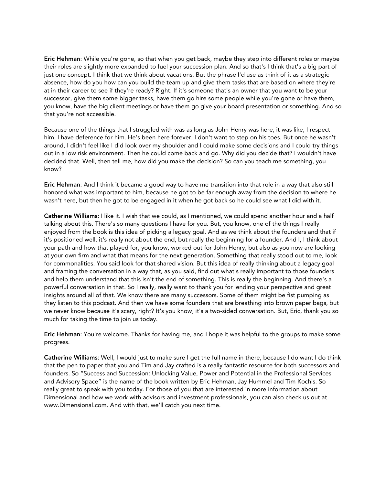Eric Hehman: While you're gone, so that when you get back, maybe they step into different roles or maybe their roles are slightly more expanded to fuel your succession plan. And so that's I think that's a big part of just one concept. I think that we think about vacations. But the phrase I'd use as think of it as a strategic absence, how do you how can you build the team up and give them tasks that are based on where they're at in their career to see if they're ready? Right. If it's someone that's an owner that you want to be your successor, give them some bigger tasks, have them go hire some people while you're gone or have them, you know, have the big client meetings or have them go give your board presentation or something. And so that you're not accessible.

Because one of the things that I struggled with was as long as John Henry was here, it was like, I respect him. I have deference for him. He's been here forever. I don't want to step on his toes. But once he wasn't around, I didn't feel like I did look over my shoulder and I could make some decisions and I could try things out in a low risk environment. Then he could come back and go. Why did you decide that? I wouldn't have decided that. Well, then tell me, how did you make the decision? So can you teach me something, you know?

Eric Hehman: And I think it became a good way to have me transition into that role in a way that also still honored what was important to him, because he got to be far enough away from the decision to where he wasn't here, but then he got to be engaged in it when he got back so he could see what I did with it.

Catherine Williams: I like it. I wish that we could, as I mentioned, we could spend another hour and a half talking about this. There's so many questions I have for you. But, you know, one of the things I really enjoyed from the book is this idea of picking a legacy goal. And as we think about the founders and that if it's positioned well, it's really not about the end, but really the beginning for a founder. And I, I think about your path and how that played for, you know, worked out for John Henry, but also as you now are looking at your own firm and what that means for the next generation. Something that really stood out to me, look for commonalities. You said look for that shared vision. But this idea of really thinking about a legacy goal and framing the conversation in a way that, as you said, find out what's really important to those founders and help them understand that this isn't the end of something. This is really the beginning. And there's a powerful conversation in that. So I really, really want to thank you for lending your perspective and great insights around all of that. We know there are many successors. Some of them might be fist pumping as they listen to this podcast. And then we have some founders that are breathing into brown paper bags, but we never know because it's scary, right? It's you know, it's a two-sided conversation. But, Eric, thank you so much for taking the time to join us today.

Eric Hehman: You're welcome. Thanks for having me, and I hope it was helpful to the groups to make some progress.

Catherine Williams: Well, I would just to make sure I get the full name in there, because I do want I do think that the pen to paper that you and Tim and Jay crafted is a really fantastic resource for both successors and founders. So "Success and Succession: Unlocking Value, Power and Potential in the Professional Services and Advisory Space" is the name of the book written by Eric Hehman, Jay Hummel and Tim Kochis. So really great to speak with you today. For those of you that are interested in more information about Dimensional and how we work with advisors and investment professionals, you can also check us out at www.Dimensional.com. And with that, we'll catch you next time.